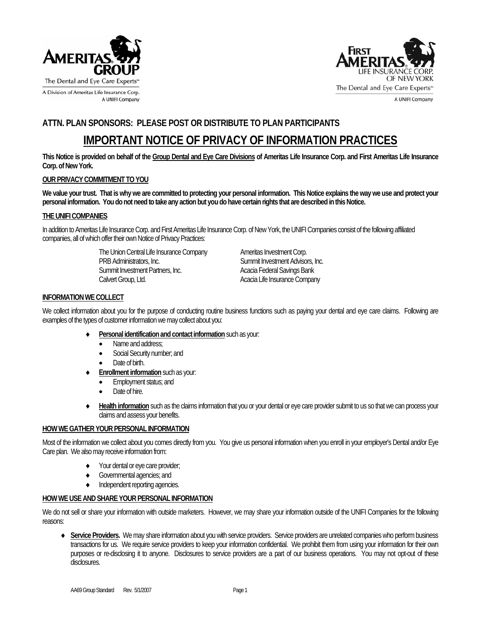



A UNIFI Company

# **ATTN. PLAN SPONSORS: PLEASE POST OR DISTRIBUTE TO PLAN PARTICIPANTS**

# **IMPORTANT NOTICE OF PRIVACY OF INFORMATION PRACTICES**

**This Notice is provided on behalf of the Group Dental and Eye Care Divisions of Ameritas Life Insurance Corp. and First Ameritas Life Insurance Corp. of New York.** 

## **OUR PRIVACY COMMITMENT TO YOU**

We value your trust. That is why we are committed to protecting your personal information. This Notice explains the way we use and protect your **personal information. You do not need to take any action but you do have certain rights that are described in this Notice.** 

#### **THE UNIFI COMPANIES**

In addition to Ameritas Life Insurance Corp. and First Ameritas Life Insurance Corp. of New York, the UNIFI Companies consist of the following affiliated companies, all of which offer their own Notice of Privacy Practices:

> The Union Central Life Insurance Company **Ameritas Investment Corp.** PRB Administrators, Inc. The Communistrators of the Summit Investment Advisors, Inc. Summit Investment Partners, Inc. **Acacia Federal Savings Bank** Calvert Group, Ltd. Calvert Group, Ltd.

### **INFORMATION WE COLLECT**

We collect information about you for the purpose of conducting routine business functions such as paying your dental and eye care claims. Following are examples of the types of customer information we may collect about you:

- ♦ **Personal identification and contact information** such as your:
	- Name and address:
	- Social Security number; and
	- Date of birth.
- **Enrollment information** such as your:
	- Employment status; and
	- Date of hire.
- Health information such as the claims information that you or your dental or eye care provider submit to us so that we can process your claims and assess your benefits.

#### **HOW WE GATHER YOUR PERSONAL INFORMATION**

Most of the information we collect about you comes directly from you. You give us personal information when you enroll in your employer's Dental and/or Eye Care plan.We also may receive information from:

- ♦ Your dental or eye care provider;
- ♦ Governmental agencies; and
- ♦ Independent reporting agencies.

#### **HOW WE USE AND SHARE YOUR PERSONAL INFORMATION**

We do not sell or share your information with outside marketers. However, we may share your information outside of the UNIFI Companies for the following reasons:

♦ **Service Providers.** We may share information about you with service providers. Service providers are unrelated companies who perform business transactions for us. We require service providers to keep your information confidential. We prohibit them from using your information for their own purposes or re-disclosing it to anyone. Disclosures to service providers are a part of our business operations. You may not opt-out of these disclosures.